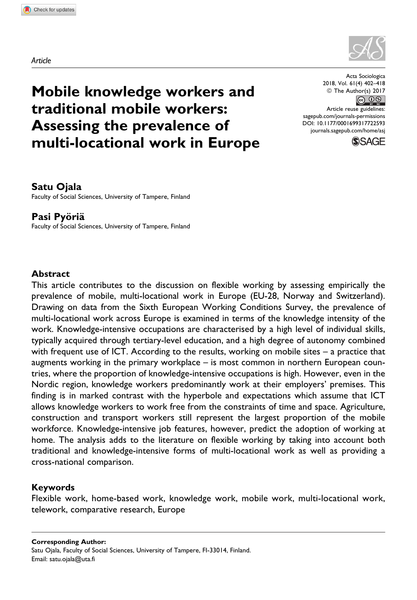

# Mobile knowledge workers and traditional mobile workers: Assessing the prevalence of multi-locational work in Europe

Acta Sociologica 2018, Vol. 61(4) 402–418 © The Author(s) 2017  $\circledcirc$   $\circledcirc$ 

Article reuse guidelines: [sagepub.com/journals-permissions](https://sagepub.com/journals-permissions) [DOI: 10.1177/0001699317722593](https://doi.org/10.1177/0001699317722593) [journals.sagepub.com/home/asj](http://journals.sagepub.com/home/asj)



### Satu Ojala

Faculty of Social Sciences, University of Tampere, Finland

#### Pasi Pyöriä

Faculty of Social Sciences, University of Tampere, Finland

### Abstract

This article contributes to the discussion on flexible working by assessing empirically the prevalence of mobile, multi-locational work in Europe (EU-28, Norway and Switzerland). Drawing on data from the Sixth European Working Conditions Survey, the prevalence of multi-locational work across Europe is examined in terms of the knowledge intensity of the work. Knowledge-intensive occupations are characterised by a high level of individual skills, typically acquired through tertiary-level education, and a high degree of autonomy combined with frequent use of ICT. According to the results, working on mobile sites  $-$  a practice that augments working in the primary workplace – is most common in northern European countries, where the proportion of knowledge-intensive occupations is high. However, even in the Nordic region, knowledge workers predominantly work at their employers' premises. This finding is in marked contrast with the hyperbole and expectations which assume that ICT allows knowledge workers to work free from the constraints of time and space. Agriculture, construction and transport workers still represent the largest proportion of the mobile workforce. Knowledge-intensive job features, however, predict the adoption of working at home. The analysis adds to the literature on flexible working by taking into account both traditional and knowledge-intensive forms of multi-locational work as well as providing a cross-national comparison.

### Keywords

Flexible work, home-based work, knowledge work, mobile work, multi-locational work, telework, comparative research, Europe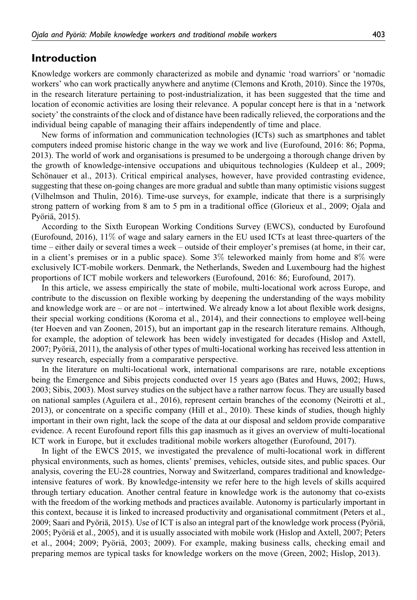#### Introduction

Knowledge workers are commonly characterized as mobile and dynamic 'road warriors' or 'nomadic workers' who can work practically anywhere and anytime (Clemons and Kroth, 2010). Since the 1970s, in the research literature pertaining to post-industrialization, it has been suggested that the time and location of economic activities are losing their relevance. A popular concept here is that in a 'network society' the constraints of the clock and of distance have been radically relieved, the corporations and the individual being capable of managing their affairs independently of time and place.

New forms of information and communication technologies (ICTs) such as smartphones and tablet computers indeed promise historic change in the way we work and live (Eurofound, 2016: 86; Popma, 2013). The world of work and organisations is presumed to be undergoing a thorough change driven by the growth of knowledge-intensive occupations and ubiquitous technologies (Kuldeep et al., 2009; Schönauer et al., 2013). Critical empirical analyses, however, have provided contrasting evidence, suggesting that these on-going changes are more gradual and subtle than many optimistic visions suggest (Vilhelmson and Thulin, 2016). Time-use surveys, for example, indicate that there is a surprisingly strong pattern of working from 8 am to 5 pm in a traditional office (Glorieux et al., 2009; Ojala and Pyöriä, 2015).

According to the Sixth European Working Conditions Survey (EWCS), conducted by Eurofound (Eurofound, 2016), 11% of wage and salary earners in the EU used ICTs at least three-quarters of the time – either daily or several times a week – outside of their employer's premises (at home, in their car, in a client's premises or in a public space). Some  $3\%$  teleworked mainly from home and  $8\%$  were exclusively ICT-mobile workers. Denmark, the Netherlands, Sweden and Luxembourg had the highest proportions of ICT mobile workers and teleworkers (Eurofound, 2016: 86; Eurofound, 2017).

In this article, we assess empirically the state of mobile, multi-locational work across Europe, and contribute to the discussion on flexible working by deepening the understanding of the ways mobility and knowledge work are – or are not – intertwined. We already know a lot about flexible work designs, their special working conditions (Koroma et al., 2014), and their connections to employee well-being (ter Hoeven and van Zoonen, 2015), but an important gap in the research literature remains. Although, for example, the adoption of telework has been widely investigated for decades (Hislop and Axtell, 2007; Pyöriä, 2011), the analysis of other types of multi-locational working has received less attention in survey research, especially from a comparative perspective.

In the literature on multi-locational work, international comparisons are rare, notable exceptions being the Emergence and Sibis projects conducted over 15 years ago (Bates and Huws, 2002; Huws, 2003; Sibis, 2003). Most survey studies on the subject have a rather narrow focus. They are usually based on national samples (Aguilera et al., 2016), represent certain branches of the economy (Neirotti et al., 2013), or concentrate on a specific company (Hill et al., 2010). These kinds of studies, though highly important in their own right, lack the scope of the data at our disposal and seldom provide comparative evidence. A recent Eurofound report fills this gap inasmuch as it gives an overview of multi-locational ICT work in Europe, but it excludes traditional mobile workers altogether (Eurofound, 2017).

In light of the EWCS 2015, we investigated the prevalence of multi-locational work in different physical environments, such as homes, clients' premises, vehicles, outside sites, and public spaces. Our analysis, covering the EU-28 countries, Norway and Switzerland, compares traditional and knowledgeintensive features of work. By knowledge-intensity we refer here to the high levels of skills acquired through tertiary education. Another central feature in knowledge work is the autonomy that co-exists with the freedom of the working methods and practices available. Autonomy is particularly important in this context, because it is linked to increased productivity and organisational commitment (Peters et al., 2009; Saari and Pyöriä, 2015). Use of ICT is also an integral part of the knowledge work process (Pyöriä, 2005; Pyöriä et al., 2005), and it is usually associated with mobile work (Hislop and Axtell, 2007; Peters et al., 2004; 2009; Pyöriä, 2003; 2009). For example, making business calls, checking email and preparing memos are typical tasks for knowledge workers on the move (Green, 2002; Hislop, 2013).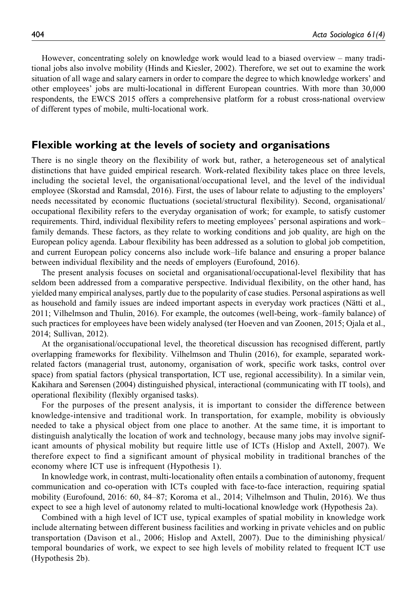However, concentrating solely on knowledge work would lead to a biased overview – many traditional jobs also involve mobility (Hinds and Kiesler, 2002). Therefore, we set out to examine the work situation of all wage and salary earners in order to compare the degree to which knowledge workers' and other employees' jobs are multi-locational in different European countries. With more than 30,000 respondents, the EWCS 2015 offers a comprehensive platform for a robust cross-national overview of different types of mobile, multi-locational work.

#### Flexible working at the levels of society and organisations

There is no single theory on the flexibility of work but, rather, a heterogeneous set of analytical distinctions that have guided empirical research. Work-related flexibility takes place on three levels, including the societal level, the organisational/occupational level, and the level of the individual employee (Skorstad and Ramsdal, 2016). First, the uses of labour relate to adjusting to the employers' needs necessitated by economic fluctuations (societal/structural flexibility). Second, organisational/ occupational flexibility refers to the everyday organisation of work; for example, to satisfy customer requirements. Third, individual flexibility refers to meeting employees' personal aspirations and work– family demands. These factors, as they relate to working conditions and job quality, are high on the European policy agenda. Labour flexibility has been addressed as a solution to global job competition, and current European policy concerns also include work–life balance and ensuring a proper balance between individual flexibility and the needs of employers (Eurofound, 2016).

The present analysis focuses on societal and organisational/occupational-level flexibility that has seldom been addressed from a comparative perspective. Individual flexibility, on the other hand, has yielded many empirical analyses, partly due to the popularity of case studies. Personal aspirations as well as household and family issues are indeed important aspects in everyday work practices (Nätti et al., 2011; Vilhelmson and Thulin, 2016). For example, the outcomes (well-being, work–family balance) of such practices for employees have been widely analysed (ter Hoeven and van Zoonen, 2015; Ojala et al., 2014; Sullivan, 2012).

At the organisational/occupational level, the theoretical discussion has recognised different, partly overlapping frameworks for flexibility. Vilhelmson and Thulin (2016), for example, separated workrelated factors (managerial trust, autonomy, organisation of work, specific work tasks, control over space) from spatial factors (physical transportation, ICT use, regional accessibility). In a similar vein, Kakihara and Sørensen (2004) distinguished physical, interactional (communicating with IT tools), and operational flexibility (flexibly organised tasks).

For the purposes of the present analysis, it is important to consider the difference between knowledge-intensive and traditional work. In transportation, for example, mobility is obviously needed to take a physical object from one place to another. At the same time, it is important to distinguish analytically the location of work and technology, because many jobs may involve significant amounts of physical mobility but require little use of ICTs (Hislop and Axtell, 2007). We therefore expect to find a significant amount of physical mobility in traditional branches of the economy where ICT use is infrequent (Hypothesis 1).

In knowledge work, in contrast, multi-locationality often entails a combination of autonomy, frequent communication and co-operation with ICTs coupled with face-to-face interaction, requiring spatial mobility (Eurofound, 2016: 60, 84–87; Koroma et al., 2014; Vilhelmson and Thulin, 2016). We thus expect to see a high level of autonomy related to multi-locational knowledge work (Hypothesis 2a).

Combined with a high level of ICT use, typical examples of spatial mobility in knowledge work include alternating between different business facilities and working in private vehicles and on public transportation (Davison et al., 2006; Hislop and Axtell, 2007). Due to the diminishing physical/ temporal boundaries of work, we expect to see high levels of mobility related to frequent ICT use (Hypothesis 2b).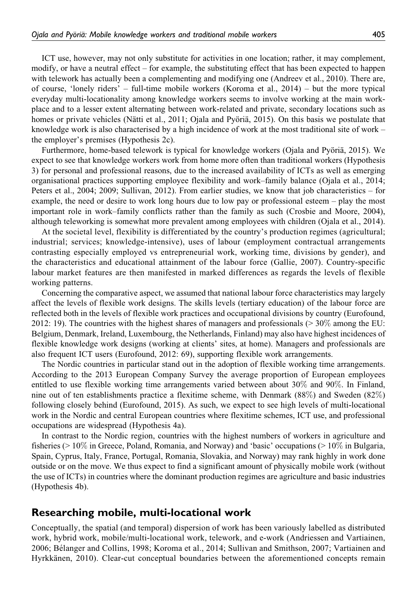ICT use, however, may not only substitute for activities in one location; rather, it may complement, modify, or have a neutral effect – for example, the substituting effect that has been expected to happen with telework has actually been a complementing and modifying one (Andreev et al., 2010). There are, of course, 'lonely riders' – full-time mobile workers (Koroma et al., 2014) – but the more typical everyday multi-locationality among knowledge workers seems to involve working at the main workplace and to a lesser extent alternating between work-related and private, secondary locations such as homes or private vehicles (Nätti et al., 2011; Ojala and Pyöriä, 2015). On this basis we postulate that knowledge work is also characterised by a high incidence of work at the most traditional site of work – the employer's premises (Hypothesis 2c).

Furthermore, home-based telework is typical for knowledge workers (Ojala and Pyöriä, 2015). We expect to see that knowledge workers work from home more often than traditional workers (Hypothesis 3) for personal and professional reasons, due to the increased availability of ICTs as well as emerging organisational practices supporting employee flexibility and work–family balance (Ojala et al., 2014; Peters et al., 2004; 2009; Sullivan, 2012). From earlier studies, we know that job characteristics – for example, the need or desire to work long hours due to low pay or professional esteem – play the most important role in work–family conflicts rather than the family as such (Crosbie and Moore, 2004), although teleworking is somewhat more prevalent among employees with children (Ojala et al., 2014).

At the societal level, flexibility is differentiated by the country's production regimes (agricultural; industrial; services; knowledge-intensive), uses of labour (employment contractual arrangements contrasting especially employed vs entrepreneurial work, working time, divisions by gender), and the characteristics and educational attainment of the labour force (Gallie, 2007). Country-specific labour market features are then manifested in marked differences as regards the levels of flexible working patterns.

Concerning the comparative aspect, we assumed that national labour force characteristics may largely affect the levels of flexible work designs. The skills levels (tertiary education) of the labour force are reflected both in the levels of flexible work practices and occupational divisions by country (Eurofound, 2012: 19). The countries with the highest shares of managers and professionals ( $> 30\%$  among the EU: Belgium, Denmark, Ireland, Luxembourg, the Netherlands, Finland) may also have highest incidences of flexible knowledge work designs (working at clients' sites, at home). Managers and professionals are also frequent ICT users (Eurofound, 2012: 69), supporting flexible work arrangements.

The Nordic countries in particular stand out in the adoption of flexible working time arrangements. According to the 2013 European Company Survey the average proportion of European employees entitled to use flexible working time arrangements varied between about 30% and 90%. In Finland, nine out of ten establishments practice a flexitime scheme, with Denmark (88%) and Sweden (82%) following closely behind (Eurofound, 2015). As such, we expect to see high levels of multi-locational work in the Nordic and central European countries where flexitime schemes, ICT use, and professional occupations are widespread (Hypothesis 4a).

In contrast to the Nordic region, countries with the highest numbers of workers in agriculture and fisheries (> 10% in Greece, Poland, Romania, and Norway) and 'basic' occupations (> 10% in Bulgaria, Spain, Cyprus, Italy, France, Portugal, Romania, Slovakia, and Norway) may rank highly in work done outside or on the move. We thus expect to find a significant amount of physically mobile work (without the use of ICTs) in countries where the dominant production regimes are agriculture and basic industries (Hypothesis 4b).

### Researching mobile, multi-locational work

Conceptually, the spatial (and temporal) dispersion of work has been variously labelled as distributed work, hybrid work, mobile/multi-locational work, telework, and e-work (Andriessen and Vartiainen, 2006; Be´langer and Collins, 1998; Koroma et al., 2014; Sullivan and Smithson, 2007; Vartiainen and Hyrkkänen, 2010). Clear-cut conceptual boundaries between the aforementioned concepts remain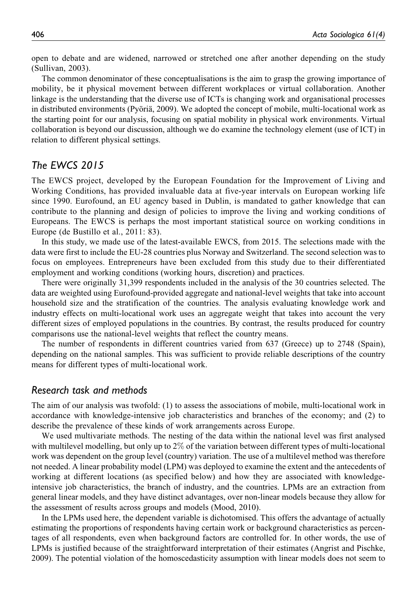open to debate and are widened, narrowed or stretched one after another depending on the study (Sullivan, 2003).

The common denominator of these conceptualisations is the aim to grasp the growing importance of mobility, be it physical movement between different workplaces or virtual collaboration. Another linkage is the understanding that the diverse use of ICTs is changing work and organisational processes in distributed environments (Pyöriä, 2009). We adopted the concept of mobile, multi-locational work as the starting point for our analysis, focusing on spatial mobility in physical work environments. Virtual collaboration is beyond our discussion, although we do examine the technology element (use of ICT) in relation to different physical settings.

#### The EWCS 2015

The EWCS project, developed by the European Foundation for the Improvement of Living and Working Conditions, has provided invaluable data at five-year intervals on European working life since 1990. Eurofound, an EU agency based in Dublin, is mandated to gather knowledge that can contribute to the planning and design of policies to improve the living and working conditions of Europeans. The EWCS is perhaps the most important statistical source on working conditions in Europe (de Bustillo et al., 2011: 83).

In this study, we made use of the latest-available EWCS, from 2015. The selections made with the data were first to include the EU-28 countries plus Norway and Switzerland. The second selection was to focus on employees. Entrepreneurs have been excluded from this study due to their differentiated employment and working conditions (working hours, discretion) and practices.

There were originally 31,399 respondents included in the analysis of the 30 countries selected. The data are weighted using Eurofound-provided aggregate and national-level weights that take into account household size and the stratification of the countries. The analysis evaluating knowledge work and industry effects on multi-locational work uses an aggregate weight that takes into account the very different sizes of employed populations in the countries. By contrast, the results produced for country comparisons use the national-level weights that reflect the country means.

The number of respondents in different countries varied from 637 (Greece) up to 2748 (Spain), depending on the national samples. This was sufficient to provide reliable descriptions of the country means for different types of multi-locational work.

#### Research task and methods

The aim of our analysis was twofold: (1) to assess the associations of mobile, multi-locational work in accordance with knowledge-intensive job characteristics and branches of the economy; and (2) to describe the prevalence of these kinds of work arrangements across Europe.

We used multivariate methods. The nesting of the data within the national level was first analysed with multilevel modelling, but only up to 2% of the variation between different types of multi-locational work was dependent on the group level (country) variation. The use of a multilevel method was therefore not needed. A linear probability model (LPM) was deployed to examine the extent and the antecedents of working at different locations (as specified below) and how they are associated with knowledgeintensive job characteristics, the branch of industry, and the countries. LPMs are an extraction from general linear models, and they have distinct advantages, over non-linear models because they allow for the assessment of results across groups and models (Mood, 2010).

In the LPMs used here, the dependent variable is dichotomised. This offers the advantage of actually estimating the proportions of respondents having certain work or background characteristics as percentages of all respondents, even when background factors are controlled for. In other words, the use of LPMs is justified because of the straightforward interpretation of their estimates (Angrist and Pischke, 2009). The potential violation of the homoscedasticity assumption with linear models does not seem to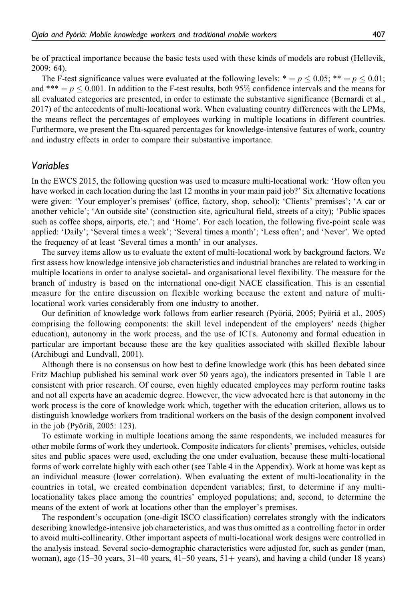be of practical importance because the basic tests used with these kinds of models are robust (Hellevik, 2009: 64).

The F-test significance values were evaluated at the following levels:  $* = p \le 0.05; ** = p \le 0.01;$ and \*\*\*  $=p \leq 0.001$ . In addition to the F-test results, both 95% confidence intervals and the means for all evaluated categories are presented, in order to estimate the substantive significance (Bernardi et al., 2017) of the antecedents of multi-locational work. When evaluating country differences with the LPMs, the means reflect the percentages of employees working in multiple locations in different countries. Furthermore, we present the Eta-squared percentages for knowledge-intensive features of work, country and industry effects in order to compare their substantive importance.

#### Variables

In the EWCS 2015, the following question was used to measure multi-locational work: 'How often you have worked in each location during the last 12 months in your main paid job?' Six alternative locations were given: 'Your employer's premises' (office, factory, shop, school); 'Clients' premises'; 'A car or another vehicle'; 'An outside site' (construction site, agricultural field, streets of a city); 'Public spaces such as coffee shops, airports, etc.'; and 'Home'. For each location, the following five-point scale was applied: 'Daily'; 'Several times a week'; 'Several times a month'; 'Less often'; and 'Never'. We opted the frequency of at least 'Several times a month' in our analyses.

The survey items allow us to evaluate the extent of multi-locational work by background factors. We first assess how knowledge intensive job characteristics and industrial branches are related to working in multiple locations in order to analyse societal- and organisational level flexibility. The measure for the branch of industry is based on the international one-digit NACE classification. This is an essential measure for the entire discussion on flexible working because the extent and nature of multilocational work varies considerably from one industry to another.

Our definition of knowledge work follows from earlier research (Pyöriä, 2005; Pyöriä et al., 2005) comprising the following components: the skill level independent of the employers' needs (higher education), autonomy in the work process, and the use of ICTs. Autonomy and formal education in particular are important because these are the key qualities associated with skilled flexible labour (Archibugi and Lundvall, 2001).

Although there is no consensus on how best to define knowledge work (this has been debated since Fritz Machlup published his seminal work over 50 years ago), the indicators presented in Table 1 are consistent with prior research. Of course, even highly educated employees may perform routine tasks and not all experts have an academic degree. However, the view advocated here is that autonomy in the work process is the core of knowledge work which, together with the education criterion, allows us to distinguish knowledge workers from traditional workers on the basis of the design component involved in the job (Pyöriä,  $2005: 123$ ).

To estimate working in multiple locations among the same respondents, we included measures for other mobile forms of work they undertook. Composite indicators for clients' premises, vehicles, outside sites and public spaces were used, excluding the one under evaluation, because these multi-locational forms of work correlate highly with each other (see Table 4 in the Appendix). Work at home was kept as an individual measure (lower correlation). When evaluating the extent of multi-locationality in the countries in total, we created combination dependent variables; first, to determine if any multilocationality takes place among the countries' employed populations; and, second, to determine the means of the extent of work at locations other than the employer's premises.

The respondent's occupation (one-digit ISCO classification) correlates strongly with the indicators describing knowledge-intensive job characteristics, and was thus omitted as a controlling factor in order to avoid multi-collinearity. Other important aspects of multi-locational work designs were controlled in the analysis instead. Several socio-demographic characteristics were adjusted for, such as gender (man, woman), age (15–30 years, 31–40 years, 41–50 years, 51+ years), and having a child (under 18 years)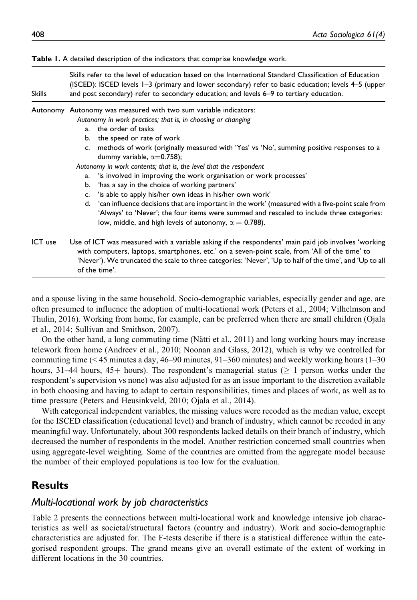#### Table 1. A detailed description of the indicators that comprise knowledge work.

Skills refer to the level of education based on the International Standard Classification of Education (ISCED): ISCED levels 1–3 (primary and lower secondary) refer to basic education; levels 4–5 (upper and post secondary) refer to secondary education; and levels 6–9 to tertiary education.

Autonomy Autonomy was measured with two sum variable indicators:

Autonomy in work practices; that is, in choosing or changing

- a. the order of tasks
- b. the speed or rate of work
- c. methods of work (originally measured with 'Yes' vs 'No', summing positive responses to a dummy variable,  $\alpha$ =0.758);

Autonomy in work contents; that is, the level that the respondent

- a. 'is involved in improving the work organisation or work processes'
- b. 'has a say in the choice of working partners'
- c. 'is able to apply his/her own ideas in his/her own work'
- d. 'can influence decisions that are important in the work' (measured with a five-point scale from 'Always' to 'Never'; the four items were summed and rescaled to include three categories: low, middle, and high levels of autonomy,  $\alpha = 0.788$ ).
- ICT use Use of ICT was measured with a variable asking if the respondents' main paid job involves 'working with computers, laptops, smartphones, etc.' on a seven-point scale, from 'All of the time' to 'Never'). We truncated the scale to three categories: 'Never', 'Up to half of the time', and 'Up to all of the time'.

and a spouse living in the same household. Socio-demographic variables, especially gender and age, are often presumed to influence the adoption of multi-locational work (Peters et al., 2004; Vilhelmson and Thulin, 2016). Working from home, for example, can be preferred when there are small children (Ojala et al., 2014; Sullivan and Smithson, 2007).

On the other hand, a long commuting time (Natti et al.,  $2011$ ) and long working hours may increase telework from home (Andreev et al., 2010; Noonan and Glass, 2012), which is why we controlled for commuting time (< 45 minutes a day, 46–90 minutes, 91–360 minutes) and weekly working hours (1–30 hours, 31–44 hours, 45+ hours). The respondent's managerial status ( $\geq 1$  person works under the respondent's supervision vs none) was also adjusted for as an issue important to the discretion available in both choosing and having to adapt to certain responsibilities, times and places of work, as well as to time pressure (Peters and Heusinkveld, 2010; Ojala et al., 2014).

With categorical independent variables, the missing values were recoded as the median value, except for the ISCED classification (educational level) and branch of industry, which cannot be recoded in any meaningful way. Unfortunately, about 300 respondents lacked details on their branch of industry, which decreased the number of respondents in the model. Another restriction concerned small countries when using aggregate-level weighting. Some of the countries are omitted from the aggregate model because the number of their employed populations is too low for the evaluation.

## Results

#### Multi-locational work by job characteristics

Table 2 presents the connections between multi-locational work and knowledge intensive job characteristics as well as societal/structural factors (country and industry). Work and socio-demographic characteristics are adjusted for. The F-tests describe if there is a statistical difference within the categorised respondent groups. The grand means give an overall estimate of the extent of working in different locations in the 30 countries.

Skills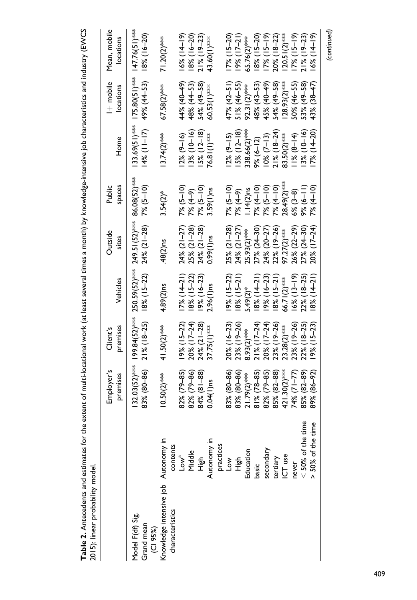| 2015): linear probability model.                       |                            |                                 |                                    |                                |                              |                               |                                 |                                 |                                       |
|--------------------------------------------------------|----------------------------|---------------------------------|------------------------------------|--------------------------------|------------------------------|-------------------------------|---------------------------------|---------------------------------|---------------------------------------|
|                                                        |                            | Employer's<br>premises          | premises<br>Client's               | Vehicles                       | Outside<br>sites             | spaces<br>Public              | Home                            | $+$ mobile<br>locations         | Mean, mobile<br>locations             |
| Model F(df) Sig.<br>Grand mean<br>(C1 95%)             |                            | $132.03(52)$ ***<br>83% (80-86) | $199.84(52)$ ***<br>$21\%$ (18–25) | 250.59(52)***<br>$18%$ (15-22) | 249.51(52)***<br>24% (21-28) | 86.08(52)****<br>$7\%$ (5–10) | $133.69(51)$ ***<br>14% (11-17) | $175.80(51)$ ***<br>49% (44–53) | $147.76(51)$ ***<br>$18%$ ( $16-20$ ) |
| Knowledge intensive job Autonomy in<br>characteristics | contents                   | $10.50(2)$ ***                  | 41.50(2)***                        | $4.89(2)$ ns                   | $.48(2)$ ns                  | $3.54(2)$ *                   | $13.74(2)$ ***                  | $67.58(2)$ ***                  | 71.20(2)***                           |
|                                                        | Low <sup>a</sup><br>Middle | 82% (79-85)                     | $(15-22)$                          | 7% (14–21)                     | 24% (21–27)                  | $7\%$ (5–10)                  | $12\%$ (9-16)                   | 44% (40–49)                     | $(6\sqrt{1+1})$ %)                    |
|                                                        |                            | 82% (79-86)                     | 20% (17-24)                        | 8% (15-22)                     | $25\%$ (21-28)               | $7\%$ (4-9)                   | $13%$ (10-16)                   | 48% (44–53)                     | $18%$ ( $16-20$ )                     |
|                                                        | High<br>Hi                 | 84% (81-88)                     | $24\%$ (21-28)                     | 9% (16-23)                     | 24% (21-28)                  | $7\%$ (5-10)                  | $15\%$ ( $12-18$ )              | 54% (49-58)                     | $21\%$ (19-23)                        |
|                                                        | Autonomy in                | $0.04(1)$ ns                    | 37.75(1)***                        | $2.96(1)$ ns                   | $0.99(1)$ ns                 | $3.59(1)$ ns                  | 76.81(1)***                     | $60.53(1)$ ***                  | 43.60 $($ $)$ ***                     |
|                                                        | practices                  |                                 |                                    |                                |                              |                               |                                 |                                 |                                       |
|                                                        | Low                        | 83% (80-86)                     | $20\%$ (16-23)                     | 9% (15-22)                     | $25\%$ $(21-28)$             | 7% (5–10)                     | $12\%$ (9–15)                   | $47\%$ $(42-51)$                | $7\%$ (15–20)                         |
|                                                        | -<br>上<br>二                | 83% (80-86)                     | 23% (19-26)                        | $8\%$ (15-21)                  | $24\%$ $(21-27)$             | $7\%$ (4-9)                   | $15\%$ ( $12 - 18$ )            | $51\% (46 - 55)$                | 9% (17-21)                            |
|                                                        | Education                  | $21.79(2)$ ***                  | $8.93(2)$ ***                      | $5.49(2)$ *                    | $25.93(2)$ ***               | $1.14(2)$ ns                  | $338.66(2)$ ***                 | 92.31 $(2)$ ***                 | $55.76(2)$ ***                        |
|                                                        | basic                      | $81\%$ (78-85)                  | $21\%$ (17-24)                     | 8% (14-21)                     | $27\%$ $(24-30)$             | $7\%$ (4-10)                  | $9% (6-12)$                     | 48% (43–53)                     | 8% (15-20)                            |
|                                                        | secondary                  | 82% (79-85)                     | $20\%$ (17-24)                     | 9% (16-23)                     | 24% (20-27)                  | $7\%$ (5-10)                  | $10\% (7-13)$                   | 45% (40–49)                     | $(7\% (15-19))$                       |
|                                                        | tertiary                   | 85% (82-88)                     | 23% (19-26)                        | $8\%$ (15-21)                  | 22% (19-26)                  | $7\%$ (4-10)                  | $21\%$ (18-24)                  | 54% (49-58)                     | 20% (18-22)                           |
|                                                        | ICT use                    | $421.30(2)$ ***                 | $23.28(2)$ ***                     | $66.71(2)$ ***                 | 97.27(2)***                  | $28.49(2)$ ***                | 83.50 $(2)$ ***                 | $(28.93(2)$ ***                 | $120.51(2)$ ***                       |
|                                                        | never                      | 74% (71–77)                     | 23% (19-26)                        | $6\%$ (13–19)                  | $26\% (22 - 29)$             | $6\%$ (3-8)                   | $18 (8-14)$                     | $50\% (46 - 55)$                | $7\%$ (15–19)                         |
|                                                        | $\leq$ 50% of the time     | 85% (82-89)                     | $22\%$ (18-25)                     | 22% (18-25)                    | 27% (24-30)                  | $(1 - 9)$ %                   | $13%$ (10–16)                   | 53% (49-58)                     | $21\%$ (19-23)                        |
|                                                        | > 50% of the time          | 89% (86-92)                     | $19% (15-23)$                      | $(14-21)$                      | 20% (17-24)                  | $7\%$ (4-10)                  | $17%$ (14–20)                   | 43% (38–47)                     | $16\%$ (14–19)                        |
|                                                        |                            |                                 |                                    |                                |                              |                               |                                 |                                 |                                       |

Table 2. Antecedents and estimates for the extent of multi-locational work (at least several times a month) by knowledge-intensive job characteristics and industry (EWCS Table 2. Antecedents and estimates for the extent of multi-locational work (at least several times a month) by knowledge-intensive job characteristics and industry (EWCS (continued)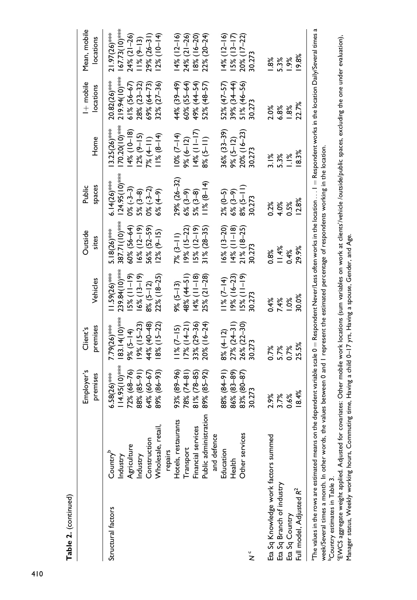|                                                                                                                            |                                                                                                                                                                                                                                                                                                                                                                                                                                                | Employer's<br>premises                                                                                                                                                  | premises<br>Client's                                                                                                                                              | Vehicles                                                                                                                                                                   | Outside<br>sites                                                                                                                                               | spaces<br>Public                                                                                                                                                   | Home                                                                                                                                                               | $1 +$ mobile<br>locations                                                                                                                                                | Mean, mobile<br>locations                                                                                                                                                |
|----------------------------------------------------------------------------------------------------------------------------|------------------------------------------------------------------------------------------------------------------------------------------------------------------------------------------------------------------------------------------------------------------------------------------------------------------------------------------------------------------------------------------------------------------------------------------------|-------------------------------------------------------------------------------------------------------------------------------------------------------------------------|-------------------------------------------------------------------------------------------------------------------------------------------------------------------|----------------------------------------------------------------------------------------------------------------------------------------------------------------------------|----------------------------------------------------------------------------------------------------------------------------------------------------------------|--------------------------------------------------------------------------------------------------------------------------------------------------------------------|--------------------------------------------------------------------------------------------------------------------------------------------------------------------|--------------------------------------------------------------------------------------------------------------------------------------------------------------------------|--------------------------------------------------------------------------------------------------------------------------------------------------------------------------|
| Structural factors                                                                                                         | Public administration<br>Hotels, restaurants<br>Wholesale, retail,<br>Financial services<br>and defence<br>Construction<br>Agriculture<br>Transport<br>repairs<br>Country <sup>b</sup><br>Industry<br>Industry                                                                                                                                                                                                                                 | $114.95(10)$ ***<br>$89\% (86 - 93)$<br>93% (89-96)<br>$78\%$ $(74-81)$<br>72% (68-76)<br>64% (60-67)<br>89% (85-92)<br>88% (85-91)<br>$81\%$ (78-85)<br>$6.58(26)$ *** | $183.14(10)$ ***<br>20% (16-24)<br>$18% (15-22)$<br>$17%$ ( $14-21$ )<br>33% (29-36)<br>$19% (15-23)$<br>44% (40-48)<br>$11\%$ (7–15)<br>7.79(26)***<br>9% (5–14) | 239.84(10)***<br>$11.59(26)$ ***<br>$5\%$ (11-19)<br>$22\%$ (18–25)<br>48% (44–51)<br>$25\% (21 - 28)$<br>$16\%$ (13–19)<br>$14\%$ (11-18)<br>$9\%$ (5-13)<br>$8\%$ (5–12) | **** (10)***<br>60% (56-64)<br>$9\%$ (15-22)<br>$31\% (28-35)$<br>$6\%$ (12–19)<br>56% (52–59)<br>$5\%$ (12-19)<br>$2\%$ (9–15)<br>5.18(26)***<br>$7\%$ (3–11) | $124.95(10)$ ***<br>29% (26-32)<br>$6.14(26)$ ***<br>$11\% (8-14)$<br>$0\% (-3-3)$<br>$0\% (-3-2)$<br>$6\%$ (4-9)<br>$6\%$ (3–9)<br>$5\%$ $(3-8)$<br>$5\%$ $(3-8)$ | $170.20(10)*$<br>$13.25(26)$ ***<br>$14\%$ (10-18)<br> 4% (  – 7<br>$10\%$ $(7-14)$<br>$18 (8-14)$<br>$12\%$ (9-15)<br>$8\%$ (5-11)<br>$9% (6-12)$<br>$7\%$ (4-11) | 219.94(10) ***<br>20.82(26)***<br>$61\% (56 - 67)$<br>$32\% (27 - 36)$<br>44% (39–49)<br>$60\%$ (55-64)<br>52% (48-57)<br>49% (44–54)<br>$28\%$ $(23-32)$<br>69% (64–73) | $167.73(10)$ ***<br>24% (21-26)<br>$14% (12-16)$<br>24% (21-26)<br>$21.97(26)$ ***<br>$29\% (26 - 31)$<br>$12\%$ (10–14)<br>$8%$ (16-20)<br>22% (20-24)<br>$11\% (9-13)$ |
| $\check{\check{z}}$                                                                                                        | Other services<br>Education<br>Health                                                                                                                                                                                                                                                                                                                                                                                                          | $86\%$ $(83-89)$<br>88% (84–91)<br>83% (80-87)<br>30.273                                                                                                                | $27\%$ $(24-31)$<br>26% (22-30)<br>8% (4-12)<br>30.273                                                                                                            | 9% (16-23)<br>$5\%$ (11-19)<br>$1\%$ (7-14)<br>30.273                                                                                                                      | 6% (13-20)<br>$4\%$ (11-18)<br>$21\%$ (18-25)<br>30.273                                                                                                        | $8\%$ (5-11)<br>$2\% (0 - 5)$<br>$6\%$ $(3-9)$<br>30.273                                                                                                           | $36\%$ $(33-39)$<br>$20\%$ (16-23)<br>9% (5–12)<br>30.273                                                                                                          | 52% (47–57)<br>39% (34–44)<br>51% (46-56)<br>30.273                                                                                                                      | $14\%$ (12-16)<br>20% (17-22)<br>$15\%$ (13–17)<br>30.273                                                                                                                |
| Eta Sq Knowledge work factors summed<br>Eta Sq Branch of industry<br>Full model, Adjusted R <sup>2</sup><br>Eta Sq Country |                                                                                                                                                                                                                                                                                                                                                                                                                                                | 18.4%<br>3.7%<br>2.9%<br>0.6%                                                                                                                                           | 25.5%<br>0.7%<br>5.7%<br>0.7%                                                                                                                                     | 30.0%<br>0.4%<br>7.4%<br>$\frac{8}{3}$                                                                                                                                     | 11.4%<br>29.9%<br>0.8%<br>0.4%                                                                                                                                 | 12.8%<br>0.2%<br>4.0%<br>0.5%                                                                                                                                      | 18.3%<br>5.3%<br>$\frac{8}{1}$<br>3.1%                                                                                                                             | 22.7%<br>2.0%<br>6.8%<br>.8%                                                                                                                                             | 19.8%<br><u>ತಿಜ್</u><br>5.3%<br>$\frac{8}{6}$                                                                                                                            |
|                                                                                                                            | $\Gamma$ he values in the rows are estimated means on the dependent variable scale 0 = Respondent Never/Less often works in the location $\ldots$ 1 = Respondent works in the location Daily/Several times a<br>iteration is the community of the street produced and contract the community of the community of the community of a second contract of the community of the community of the community of the community of the community of th |                                                                                                                                                                         |                                                                                                                                                                   |                                                                                                                                                                            |                                                                                                                                                                |                                                                                                                                                                    |                                                                                                                                                                    |                                                                                                                                                                          |                                                                                                                                                                          |

week/Several times a month. In other words, the values between 0 and I represent the estimated percentage of respondents working in the location.<br><sup>b</sup>Country estimates in Table 3. week/Several times a month. In other words, the values between 0 and 1 represent the estimated percentage of respondents working in the location. bCountry estimates in Table 3.

EWCS aggregate weight applied. Adjusted for covariates: Other mobile work locations (sum variables on work at clients'/vehicle /outside/public spaces, excluding the one under evaluation), cEWCS aggregate weight applied. Adjusted for covariates: Other mobile work locations (sum variables on work at clients'/vehicle /outside/public spaces, excluding the one under evaluation), Manager status, Weekly working hours, Commuting time, Having a child 0–17 yrs, Having a spouse, Gender, and Age Manager status, Weekly working hours, Commuting time, Having a child 0–17 yrs, Having a spouse, Gender, and Age.

Table 2. (continued)

Table 2. (continued)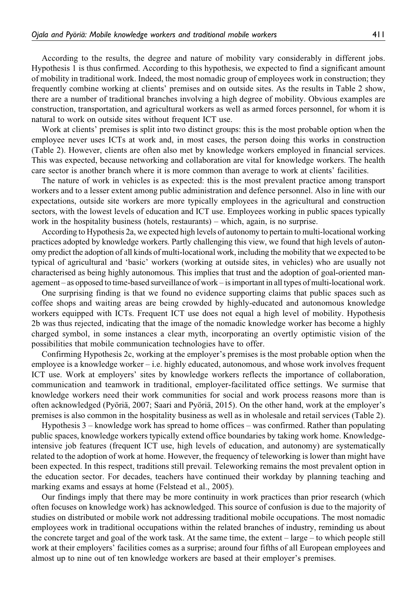According to the results, the degree and nature of mobility vary considerably in different jobs. Hypothesis 1 is thus confirmed. According to this hypothesis, we expected to find a significant amount of mobility in traditional work. Indeed, the most nomadic group of employees work in construction; they frequently combine working at clients' premises and on outside sites. As the results in Table 2 show, there are a number of traditional branches involving a high degree of mobility. Obvious examples are construction, transportation, and agricultural workers as well as armed forces personnel, for whom it is natural to work on outside sites without frequent ICT use.

Work at clients' premises is split into two distinct groups: this is the most probable option when the employee never uses ICTs at work and, in most cases, the person doing this works in construction (Table 2). However, clients are often also met by knowledge workers employed in financial services. This was expected, because networking and collaboration are vital for knowledge workers. The health care sector is another branch where it is more common than average to work at clients' facilities.

The nature of work in vehicles is as expected: this is the most prevalent practice among transport workers and to a lesser extent among public administration and defence personnel. Also in line with our expectations, outside site workers are more typically employees in the agricultural and construction sectors, with the lowest levels of education and ICT use. Employees working in public spaces typically work in the hospitality business (hotels, restaurants) – which, again, is no surprise.

According to Hypothesis 2a, we expected high levels of autonomy to pertain to multi-locational working practices adopted by knowledge workers. Partly challenging this view, we found that high levels of autonomy predict the adoption of all kinds of multi-locational work, including the mobility that we expected to be typical of agricultural and 'basic' workers (working at outside sites, in vehicles) who are usually not characterised as being highly autonomous. This implies that trust and the adoption of goal-oriented management – as opposed to time-based surveillance of work – is important in all types of multi-locational work.

One surprising finding is that we found no evidence supporting claims that public spaces such as coffee shops and waiting areas are being crowded by highly-educated and autonomous knowledge workers equipped with ICTs. Frequent ICT use does not equal a high level of mobility. Hypothesis 2b was thus rejected, indicating that the image of the nomadic knowledge worker has become a highly charged symbol, in some instances a clear myth, incorporating an overtly optimistic vision of the possibilities that mobile communication technologies have to offer.

Confirming Hypothesis 2c, working at the employer's premises is the most probable option when the employee is a knowledge worker – i.e. highly educated, autonomous, and whose work involves frequent ICT use. Work at employers' sites by knowledge workers reflects the importance of collaboration, communication and teamwork in traditional, employer-facilitated office settings. We surmise that knowledge workers need their work communities for social and work process reasons more than is often acknowledged (Pyöriä, 2007; Saari and Pyöriä, 2015). On the other hand, work at the employer's premises is also common in the hospitality business as well as in wholesale and retail services (Table 2).

Hypothesis 3 – knowledge work has spread to home offices – was confirmed. Rather than populating public spaces, knowledge workers typically extend office boundaries by taking work home. Knowledgeintensive job features (frequent ICT use, high levels of education, and autonomy) are systematically related to the adoption of work at home. However, the frequency of teleworking is lower than might have been expected. In this respect, traditions still prevail. Teleworking remains the most prevalent option in the education sector. For decades, teachers have continued their workday by planning teaching and marking exams and essays at home (Felstead et al., 2005).

Our findings imply that there may be more continuity in work practices than prior research (which often focuses on knowledge work) has acknowledged. This source of confusion is due to the majority of studies on distributed or mobile work not addressing traditional mobile occupations. The most nomadic employees work in traditional occupations within the related branches of industry, reminding us about the concrete target and goal of the work task. At the same time, the extent – large – to which people still work at their employers' facilities comes as a surprise; around four fifths of all European employees and almost up to nine out of ten knowledge workers are based at their employer's premises.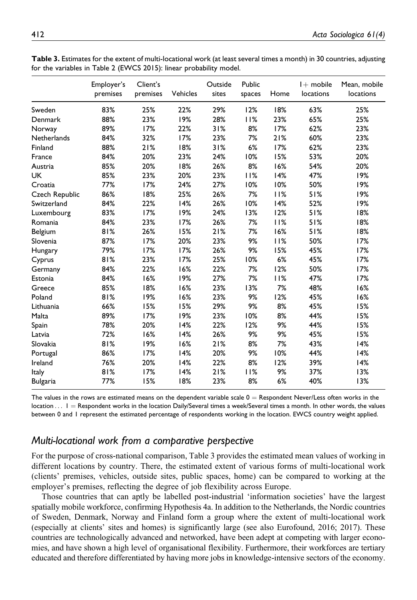|                 | Employer's<br>premises | Client's<br>premises | Vehicles | Outside<br>sites | Public<br>spaces | Home | $l +$ mobile<br>locations | Mean, mobile<br>locations |
|-----------------|------------------------|----------------------|----------|------------------|------------------|------|---------------------------|---------------------------|
| Sweden          | 83%                    | 25%                  | 22%      | 29%              | 12%              | 18%  | 63%                       | 25%                       |
| Denmark         | 88%                    | 23%                  | 19%      | 28%              | 11%              | 23%  | 65%                       | 25%                       |
| Norway          | 89%                    | 17%                  | 22%      | 31%              | 8%               | 17%  | 62%                       | 23%                       |
| Netherlands     | 84%                    | 32%                  | 17%      | 23%              | 7%               | 21%  | 60%                       | 23%                       |
| Finland         | 88%                    | 21%                  | 18%      | 31%              | 6%               | 17%  | 62%                       | 23%                       |
| France          | 84%                    | 20%                  | 23%      | 24%              | 10%              | 15%  | 53%                       | 20%                       |
| Austria         | 85%                    | 20%                  | 18%      | 26%              | 8%               | 16%  | 54%                       | 20%                       |
| <b>UK</b>       | 85%                    | 23%                  | 20%      | 23%              | 11%              | 14%  | 47%                       | 19%                       |
| Croatia         | 77%                    | 17%                  | 24%      | 27%              | 10%              | 10%  | 50%                       | 19%                       |
| Czech Republic  | 86%                    | 18%                  | 25%      | 26%              | 7%               | 11%  | 51%                       | 19%                       |
| Switzerland     | 84%                    | 22%                  | 14%      | 26%              | 10%              | 14%  | 52%                       | 19%                       |
| Luxembourg      | 83%                    | 17%                  | 19%      | 24%              | 13%              | 12%  | 51%                       | 18%                       |
| Romania         | 84%                    | 23%                  | 17%      | 26%              | 7%               | 11%  | 51%                       | 18%                       |
| Belgium         | 81%                    | 26%                  | 15%      | 21%              | 7%               | 16%  | 51%                       | 18%                       |
| Slovenia        | 87%                    | 17%                  | 20%      | 23%              | 9%               | 11%  | 50%                       | 17%                       |
| Hungary         | 79%                    | 17%                  | 17%      | 26%              | 9%               | 15%  | 45%                       | 17%                       |
| Cyprus          | 81%                    | 23%                  | 17%      | 25%              | 10%              | 6%   | 45%                       | 17%                       |
| Germany         | 84%                    | 22%                  | 16%      | 22%              | 7%               | 12%  | 50%                       | 17%                       |
| Estonia         | 84%                    | 16%                  | 19%      | 27%              | 7%               | 11%  | 47%                       | 17%                       |
| Greece          | 85%                    | 18%                  | 16%      | 23%              | 13%              | 7%   | 48%                       | 16%                       |
| Poland          | 81%                    | 19%                  | 16%      | 23%              | 9%               | 12%  | 45%                       | 16%                       |
| Lithuania       | 66%                    | 15%                  | 15%      | 29%              | 9%               | 8%   | 45%                       | 15%                       |
| Malta           | 89%                    | 17%                  | 19%      | 23%              | 10%              | 8%   | 44%                       | 15%                       |
| Spain           | 78%                    | 20%                  | 14%      | 22%              | 12%              | 9%   | 44%                       | 15%                       |
| Latvia          | 72%                    | 16%                  | 14%      | 26%              | 9%               | 9%   | 45%                       | 15%                       |
| Slovakia        | 81%                    | 19%                  | 16%      | 21%              | 8%               | 7%   | 43%                       | 14%                       |
| Portugal        | 86%                    | 17%                  | 14%      | 20%              | 9%               | 10%  | 44%                       | 14%                       |
| Ireland         | 76%                    | 20%                  | 14%      | 22%              | 8%               | 12%  | 39%                       | 14%                       |
| Italy           | 81%                    | 17%                  | 14%      | 21%              | 11%              | 9%   | 37%                       | 13%                       |
| <b>Bulgaria</b> | 77%                    | 15%                  | 18%      | 23%              | 8%               | 6%   | 40%                       | 13%                       |

Table 3. Estimates for the extent of multi-locational work (at least several times a month) in 30 countries, adjusting for the variables in Table 2 (EWCS 2015): linear probability model.

The values in the rows are estimated means on the dependent variable scale  $0 =$  Respondent Never/Less often works in the  $location...$   $I =$  Respondent works in the location Daily/Several times a week/Several times a month. In other words, the values between 0 and 1 represent the estimated percentage of respondents working in the location. EWCS country weight applied.

### Multi-locational work from a comparative perspective

For the purpose of cross-national comparison, Table 3 provides the estimated mean values of working in different locations by country. There, the estimated extent of various forms of multi-locational work (clients' premises, vehicles, outside sites, public spaces, home) can be compared to working at the employer's premises, reflecting the degree of job flexibility across Europe.

Those countries that can aptly be labelled post-industrial 'information societies' have the largest spatially mobile workforce, confirming Hypothesis 4a. In addition to the Netherlands, the Nordic countries of Sweden, Denmark, Norway and Finland form a group where the extent of multi-locational work (especially at clients' sites and homes) is significantly large (see also Eurofound, 2016; 2017). These countries are technologically advanced and networked, have been adept at competing with larger economies, and have shown a high level of organisational flexibility. Furthermore, their workforces are tertiary educated and therefore differentiated by having more jobs in knowledge-intensive sectors of the economy.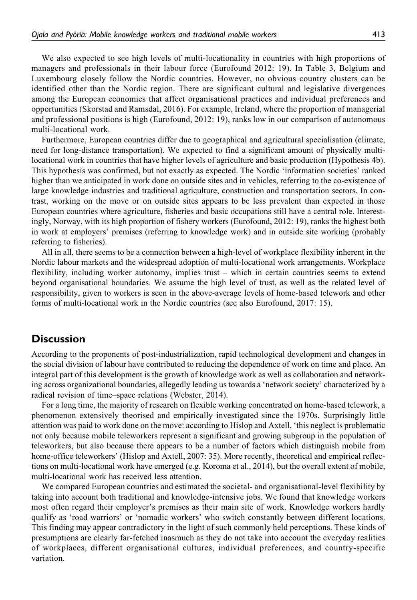We also expected to see high levels of multi-locationality in countries with high proportions of managers and professionals in their labour force (Eurofound 2012: 19). In Table 3, Belgium and Luxembourg closely follow the Nordic countries. However, no obvious country clusters can be identified other than the Nordic region. There are significant cultural and legislative divergences among the European economies that affect organisational practices and individual preferences and opportunities (Skorstad and Ramsdal, 2016). For example, Ireland, where the proportion of managerial and professional positions is high (Eurofound, 2012: 19), ranks low in our comparison of autonomous multi-locational work.

Furthermore, European countries differ due to geographical and agricultural specialisation (climate, need for long-distance transportation). We expected to find a significant amount of physically multilocational work in countries that have higher levels of agriculture and basic production (Hypothesis 4b). This hypothesis was confirmed, but not exactly as expected. The Nordic 'information societies' ranked higher than we anticipated in work done on outside sites and in vehicles, referring to the co-existence of large knowledge industries and traditional agriculture, construction and transportation sectors. In contrast, working on the move or on outside sites appears to be less prevalent than expected in those European countries where agriculture, fisheries and basic occupations still have a central role. Interestingly, Norway, with its high proportion of fishery workers (Eurofound, 2012: 19), ranks the highest both in work at employers' premises (referring to knowledge work) and in outside site working (probably referring to fisheries).

All in all, there seems to be a connection between a high-level of workplace flexibility inherent in the Nordic labour markets and the widespread adoption of multi-locational work arrangements. Workplace flexibility, including worker autonomy, implies trust – which in certain countries seems to extend beyond organisational boundaries. We assume the high level of trust, as well as the related level of responsibility, given to workers is seen in the above-average levels of home-based telework and other forms of multi-locational work in the Nordic countries (see also Eurofound, 2017: 15).

### **Discussion**

According to the proponents of post-industrialization, rapid technological development and changes in the social division of labour have contributed to reducing the dependence of work on time and place. An integral part of this development is the growth of knowledge work as well as collaboration and networking across organizational boundaries, allegedly leading us towards a 'network society' characterized by a radical revision of time–space relations (Webster, 2014).

For a long time, the majority of research on flexible working concentrated on home-based telework, a phenomenon extensively theorised and empirically investigated since the 1970s. Surprisingly little attention was paid to work done on the move: according to Hislop and Axtell, 'this neglect is problematic not only because mobile teleworkers represent a significant and growing subgroup in the population of teleworkers, but also because there appears to be a number of factors which distinguish mobile from home-office teleworkers' (Hislop and Axtell, 2007: 35). More recently, theoretical and empirical reflections on multi-locational work have emerged (e.g. Koroma et al., 2014), but the overall extent of mobile, multi-locational work has received less attention.

We compared European countries and estimated the societal- and organisational-level flexibility by taking into account both traditional and knowledge-intensive jobs. We found that knowledge workers most often regard their employer's premises as their main site of work. Knowledge workers hardly qualify as 'road warriors' or 'nomadic workers' who switch constantly between different locations. This finding may appear contradictory in the light of such commonly held perceptions. These kinds of presumptions are clearly far-fetched inasmuch as they do not take into account the everyday realities of workplaces, different organisational cultures, individual preferences, and country-specific variation.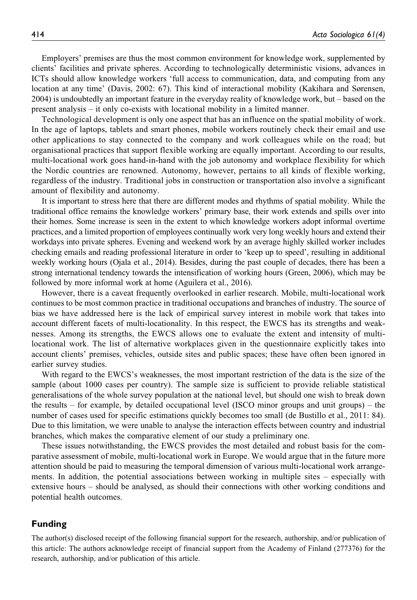Employers' premises are thus the most common environment for knowledge work, supplemented by clients' facilities and private spheres. According to technologically deterministic visions, advances in ICTs should allow knowledge workers 'full access to communication, data, and computing from any location at any time' (Davis, 2002: 67). This kind of interactional mobility (Kakihara and Sørensen, 2004) is undoubtedly an important feature in the everyday reality of knowledge work, but – based on the present analysis – it only co-exists with locational mobility in a limited manner.

Technological development is only one aspect that has an influence on the spatial mobility of work. In the age of laptops, tablets and smart phones, mobile workers routinely check their email and use other applications to stay connected to the company and work colleagues while on the road; but organisational practices that support flexible working are equally important. According to our results, multi-locational work goes hand-in-hand with the job autonomy and workplace flexibility for which the Nordic countries are renowned. Autonomy, however, pertains to all kinds of flexible working, regardless of the industry. Traditional jobs in construction or transportation also involve a significant amount of flexibility and autonomy.

It is important to stress here that there are different modes and rhythms of spatial mobility. While the traditional office remains the knowledge workers' primary base, their work extends and spills over into their homes. Some increase is seen in the extent to which knowledge workers adopt informal overtime practices, and a limited proportion of employees continually work very long weekly hours and extend their workdays into private spheres. Evening and weekend work by an average highly skilled worker includes checking emails and reading professional literature in order to 'keep up to speed', resulting in additional weekly working hours (Ojala et al., 2014). Besides, during the past couple of decades, there has been a strong international tendency towards the intensification of working hours (Green, 2006), which may be followed by more informal work at home (Aguilera et al., 2016).

However, there is a caveat frequently overlooked in earlier research. Mobile, multi-locational work continues to be most common practice in traditional occupations and branches of industry. The source of bias we have addressed here is the lack of empirical survey interest in mobile work that takes into account different facets of multi-locationality. In this respect, the EWCS has its strengths and weaknesses. Among its strengths, the EWCS allows one to evaluate the extent and intensity of multilocational work. The list of alternative workplaces given in the questionnaire explicitly takes into account clients' premises, vehicles, outside sites and public spaces; these have often been ignored in earlier survey studies.

With regard to the EWCS's weaknesses, the most important restriction of the data is the size of the sample (about 1000 cases per country). The sample size is sufficient to provide reliable statistical generalisations of the whole survey population at the national level, but should one wish to break down the results – for example, by detailed occupational level (ISCO minor groups and unit groups) – the number of cases used for specific estimations quickly becomes too small (de Bustillo et al., 2011: 84). Due to this limitation, we were unable to analyse the interaction effects between country and industrial branches, which makes the comparative element of our study a preliminary one.

These issues notwithstanding, the EWCS provides the most detailed and robust basis for the comparative assessment of mobile, multi-locational work in Europe. We would argue that in the future more attention should be paid to measuring the temporal dimension of various multi-locational work arrangements. In addition, the potential associations between working in multiple sites – especially with extensive hours – should be analysed, as should their connections with other working conditions and potential health outcomes.

#### Funding

The author(s) disclosed receipt of the following financial support for the research, authorship, and/or publication of this article: The authors acknowledge receipt of financial support from the Academy of Finland (277376) for the research, authorship, and/or publication of this article.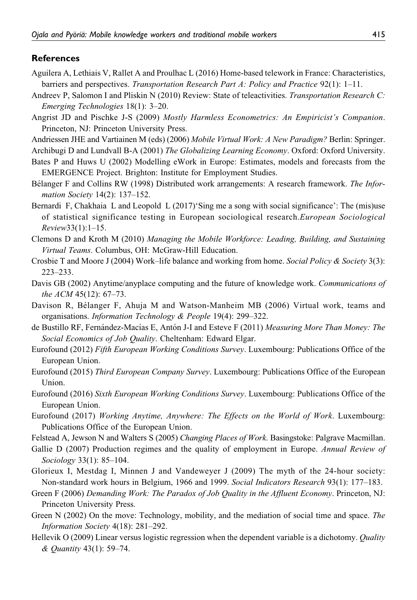#### **References**

- Aguilera A, Lethiais V, Rallet A and Proulhac L (2016) Home-based telework in France: Characteristics, barriers and perspectives. Transportation Research Part A: Policy and Practice 92(1): 1–11.
- Andreev P, Salomon I and Pliskin N (2010) Review: State of teleactivities. Transportation Research C: Emerging Technologies 18(1): 3–20.
- Angrist JD and Pischke J-S (2009) Mostly Harmless Econometrics: An Empiricist's Companion. Princeton, NJ: Princeton University Press.

Andriessen JHE and Vartiainen M (eds) (2006) Mobile Virtual Work: A New Paradigm? Berlin: Springer.

- Archibugi D and Lundvall B-A (2001) The Globalizing Learning Economy. Oxford: Oxford University.
- Bates P and Huws U (2002) Modelling eWork in Europe: Estimates, models and forecasts from the EMERGENCE Project. Brighton: Institute for Employment Studies.
- Bélanger F and Collins RW (1998) Distributed work arrangements: A research framework. The Information Society 14(2): 137-152.
- Bernardi F, Chakhaia L and Leopold L (2017)'Sing me a song with social significance': The (mis)use of statistical significance testing in European sociological research.European Sociological Review33(1):1–15.
- Clemons D and Kroth M (2010) Managing the Mobile Workforce: Leading, Building, and Sustaining Virtual Teams. Columbus, OH: McGraw-Hill Education.
- Crosbie T and Moore J (2004) Work–life balance and working from home. Social Policy & Society 3(3): 223–233.
- Davis GB (2002) Anytime/anyplace computing and the future of knowledge work. Communications of the ACM 45(12): 67–73.
- Davison R, Bélanger F, Ahuja M and Watson-Manheim MB (2006) Virtual work, teams and organisations. Information Technology & People 19(4): 299–322.
- de Bustillo RF, Fernández-Macías E, Antón J-I and Esteve F (2011) Measuring More Than Money: The Social Economics of Job Quality. Cheltenham: Edward Elgar.
- Eurofound (2012) Fifth European Working Conditions Survey. Luxembourg: Publications Office of the European Union.
- Eurofound (2015) Third European Company Survey. Luxembourg: Publications Office of the European Union.
- Eurofound (2016) Sixth European Working Conditions Survey. Luxembourg: Publications Office of the European Union.
- Eurofound (2017) Working Anytime, Anywhere: The Effects on the World of Work. Luxembourg: Publications Office of the European Union.
- Felstead A, Jewson N and Walters S (2005) Changing Places of Work. Basingstoke: Palgrave Macmillan.
- Gallie D (2007) Production regimes and the quality of employment in Europe. Annual Review of Sociology 33(1): 85–104.
- Glorieux I, Mestdag I, Minnen J and Vandeweyer J (2009) The myth of the 24-hour society: Non-standard work hours in Belgium, 1966 and 1999. Social Indicators Research 93(1): 177–183.
- Green F (2006) Demanding Work: The Paradox of Job Quality in the Affluent Economy. Princeton, NJ: Princeton University Press.
- Green N (2002) On the move: Technology, mobility, and the mediation of social time and space. The Information Society 4(18): 281–292.
- Hellevik O (2009) Linear versus logistic regression when the dependent variable is a dichotomy. Quality & Quantity 43(1): 59–74.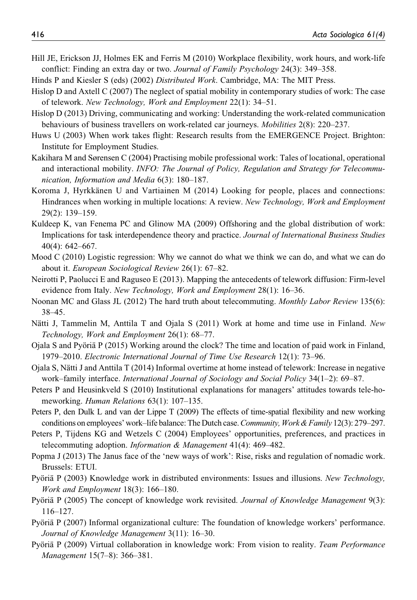- Hill JE, Erickson JJ, Holmes EK and Ferris M (2010) Workplace flexibility, work hours, and work-life conflict: Finding an extra day or two. Journal of Family Psychology 24(3): 349–358.
- Hinds P and Kiesler S (eds) (2002) Distributed Work. Cambridge, MA: The MIT Press.
- Hislop D and Axtell C (2007) The neglect of spatial mobility in contemporary studies of work: The case of telework. New Technology, Work and Employment 22(1): 34–51.
- Hislop D (2013) Driving, communicating and working: Understanding the work-related communication behaviours of business travellers on work-related car journeys. Mobilities 2(8): 220–237.
- Huws U (2003) When work takes flight: Research results from the EMERGENCE Project. Brighton: Institute for Employment Studies.
- Kakihara M and Sørensen C (2004) Practising mobile professional work: Tales of locational, operational and interactional mobility. INFO: The Journal of Policy, Regulation and Strategy for Telecommunication, Information and Media 6(3): 180–187.
- Koroma J, Hyrkkänen U and Vartiainen M (2014) Looking for people, places and connections: Hindrances when working in multiple locations: A review. New Technology, Work and Employment 29(2): 139–159.
- Kuldeep K, van Fenema PC and Glinow MA (2009) Offshoring and the global distribution of work: Implications for task interdependence theory and practice. Journal of International Business Studies 40(4): 642–667.
- Mood C (2010) Logistic regression: Why we cannot do what we think we can do, and what we can do about it. European Sociological Review 26(1): 67–82.
- Neirotti P, Paolucci E and Raguseo E (2013). Mapping the antecedents of telework diffusion: Firm-level evidence from Italy. New Technology, Work and Employment 28(1): 16–36.
- Noonan MC and Glass JL (2012) The hard truth about telecommuting. Monthly Labor Review 135(6): 38–45.
- Nätti J, Tammelin M, Anttila T and Ojala S (2011) Work at home and time use in Finland. New Technology, Work and Employment 26(1): 68–77.
- Ojala S and Pyöriä P (2015) Working around the clock? The time and location of paid work in Finland, 1979–2010. Electronic International Journal of Time Use Research 12(1): 73–96.
- Ojala S, Nätti J and Anttila T (2014) Informal overtime at home instead of telework: Increase in negative work–family interface. International Journal of Sociology and Social Policy 34(1–2): 69–87.
- Peters P and Heusinkveld S (2010) Institutional explanations for managers' attitudes towards tele-homeworking. Human Relations 63(1): 107-135.
- Peters P, den Dulk L and van der Lippe T (2009) The effects of time-spatial flexibility and new working conditions on employees' work–life balance: The Dutch case.Community, Work & Family 12(3): 279–297.
- Peters P, Tijdens KG and Wetzels C (2004) Employees' opportunities, preferences, and practices in telecommuting adoption. Information & Management 41(4): 469–482.
- Popma J (2013) The Janus face of the 'new ways of work': Rise, risks and regulation of nomadic work. Brussels: ETUI.
- Pyöriä P (2003) Knowledge work in distributed environments: Issues and illusions. New Technology, Work and Employment 18(3): 166–180.
- Pyöriä P (2005) The concept of knowledge work revisited. Journal of Knowledge Management 9(3): 116–127.
- Pyöriä P (2007) Informal organizational culture: The foundation of knowledge workers' performance. Journal of Knowledge Management 3(11): 16–30.
- Pyöriä P (2009) Virtual collaboration in knowledge work: From vision to reality. Team Performance Management 15(7–8): 366–381.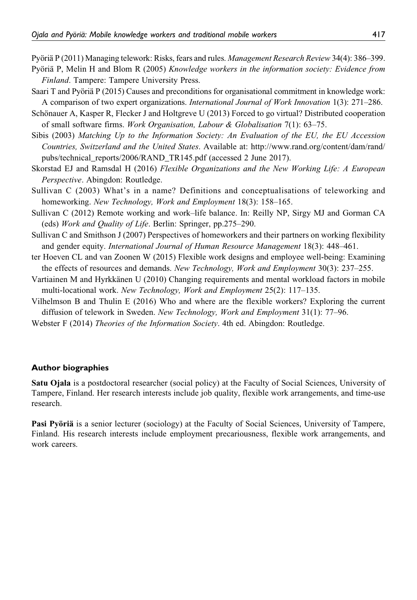Pvöriä P (2011) Managing telework: Risks, fears and rules. Management Research Review 34(4): 386–399.

- Pyöriä P, Melin H and Blom R (2005) Knowledge workers in the information society: Evidence from Finland. Tampere: Tampere University Press.
- Saari T and Pyöriä P (2015) Causes and preconditions for organisational commitment in knowledge work: A comparison of two expert organizations. International Journal of Work Innovation 1(3): 271–286.
- Schönauer A, Kasper R, Flecker J and Holtgreve U (2013) Forced to go virtual? Distributed cooperation of small software firms. Work Organisation, Labour & Globalisation 7(1): 63–75.
- Sibis (2003) Matching Up to the Information Society: An Evaluation of the EU, the EU Accession Countries, Switzerland and the United States. Available at: [http://www.rand.org/content/dam/rand/](http://www.rand.org/content/dam/rand/pubs/technical_reports/2006/RAND_TR145.pdf) [pubs/technical\\_reports/2006/RAND\\_TR145.pdf](http://www.rand.org/content/dam/rand/pubs/technical_reports/2006/RAND_TR145.pdf) (accessed 2 June 2017).
- Skorstad EJ and Ramsdal H (2016) Flexible Organizations and the New Working Life: A European Perspective. Abingdon: Routledge.
- Sullivan C (2003) What's in a name? Definitions and conceptualisations of teleworking and homeworking. New Technology, Work and Employment 18(3): 158–165.
- Sullivan C (2012) Remote working and work–life balance. In: Reilly NP, Sirgy MJ and Gorman CA (eds) Work and Quality of Life. Berlin: Springer, pp.275–290.
- Sullivan C and Smithson J (2007) Perspectives of homeworkers and their partners on working flexibility and gender equity. International Journal of Human Resource Management 18(3): 448–461.
- ter Hoeven CL and van Zoonen W (2015) Flexible work designs and employee well-being: Examining the effects of resources and demands. New Technology, Work and Employment 30(3): 237–255.
- Vartiainen M and Hyrkkänen U (2010) Changing requirements and mental workload factors in mobile multi-locational work. New Technology, Work and Employment 25(2): 117–135.
- Vilhelmson B and Thulin E (2016) Who and where are the flexible workers? Exploring the current diffusion of telework in Sweden. New Technology, Work and Employment 31(1): 77–96.
- Webster F (2014) *Theories of the Information Society*. 4th ed. Abingdon: Routledge.

#### Author biographies

Satu Ojala is a postdoctoral researcher (social policy) at the Faculty of Social Sciences, University of Tampere, Finland. Her research interests include job quality, flexible work arrangements, and time-use research.

Pasi Pyöriä is a senior lecturer (sociology) at the Faculty of Social Sciences, University of Tampere, Finland. His research interests include employment precariousness, flexible work arrangements, and work careers.